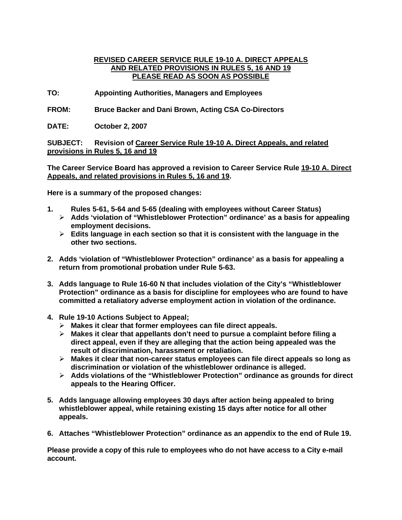### **REVISED CAREER SERVICE RULE 19-10 A. DIRECT APPEALS AND RELATED PROVISIONS IN RULES 5, 16 AND 19 PLEASE READ AS SOON AS POSSIBLE**

**TO: Appointing Authorities, Managers and Employees** 

**FROM: Bruce Backer and Dani Brown, Acting CSA Co-Directors** 

**DATE: October 2, 2007** 

**SUBJECT: Revision of Career Service Rule 19-10 A. Direct Appeals, and related provisions in Rules 5, 16 and 19**

**The Career Service Board has approved a revision to Career Service Rule 19-10 A. Direct Appeals, and related provisions in Rules 5, 16 and 19.** 

**Here is a summary of the proposed changes:** 

- **1. Rules 5-61, 5-64 and 5-65 (dealing with employees without Career Status)** 
	- ¾ **Adds 'violation of "Whistleblower Protection" ordinance' as a basis for appealing employment decisions.**
	- ¾ **Edits language in each section so that it is consistent with the language in the other two sections.**
- **2. Adds 'violation of "Whistleblower Protection" ordinance' as a basis for appealing a return from promotional probation under Rule 5-63.**
- **3. Adds language to Rule 16-60 N that includes violation of the City's "Whistleblower Protection" ordinance as a basis for discipline for employees who are found to have committed a retaliatory adverse employment action in violation of the ordinance.**
- **4. Rule 19-10 Actions Subject to Appeal;** 
	- ¾ **Makes it clear that former employees can file direct appeals.**
	- ¾ **Makes it clear that appellants don't need to pursue a complaint before filing a direct appeal, even if they are alleging that the action being appealed was the result of discrimination, harassment or retaliation.**
	- ¾ **Makes it clear that non-career status employees can file direct appeals so long as discrimination or violation of the whistleblower ordinance is alleged.**
	- ¾ **Adds violations of the "Whistleblower Protection" ordinance as grounds for direct appeals to the Hearing Officer.**
- **5. Adds language allowing employees 30 days after action being appealed to bring whistleblower appeal, while retaining existing 15 days after notice for all other appeals.**
- **6. Attaches "Whistleblower Protection" ordinance as an appendix to the end of Rule 19.**

**Please provide a copy of this rule to employees who do not have access to a City e-mail account.**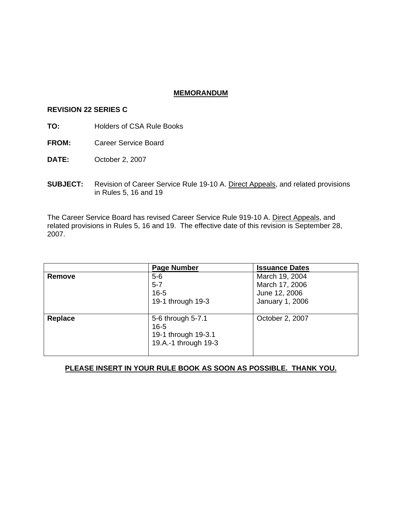#### **MEMORANDUM**

#### **REVISION 22 SERIES C**

- **TO:** Holders of CSA Rule Books
- **FROM:** Career Service Board
- **DATE:** October 2, 2007
- **SUBJECT:** Revision of Career Service Rule 19-10 A. Direct Appeals, and related provisions in Rules 5, 16 and 19

The Career Service Board has revised Career Service Rule 919-10 A. Direct Appeals, and related provisions in Rules 5, 16 and 19. The effective date of this revision is September 28, 2007.

|         | <b>Page Number</b>   | <b>Issuance Dates</b> |
|---------|----------------------|-----------------------|
| Remove  | $5-6$                | March 19, 2004        |
|         | $5 - 7$              | March 17, 2006        |
|         | $16 - 5$             | June 12, 2006         |
|         | 19-1 through 19-3    | January 1, 2006       |
|         |                      |                       |
| Replace | 5-6 through 5-7.1    | October 2, 2007       |
|         | $16 - 5$             |                       |
|         | 19-1 through 19-3.1  |                       |
|         | 19.A.-1 through 19-3 |                       |
|         |                      |                       |

## **PLEASE INSERT IN YOUR RULE BOOK AS SOON AS POSSIBLE. THANK YOU.**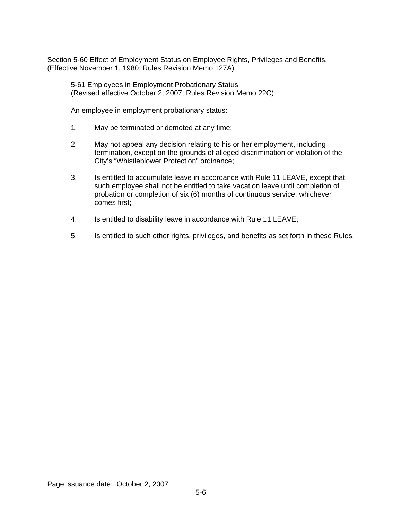Section 5-60 Effect of Employment Status on Employee Rights, Privileges and Benefits. (Effective November 1, 1980; Rules Revision Memo 127A)

5-61 Employees in Employment Probationary Status (Revised effective October 2, 2007; Rules Revision Memo 22C)

An employee in employment probationary status:

- 1. May be terminated or demoted at any time;
- 2. May not appeal any decision relating to his or her employment, including termination, except on the grounds of alleged discrimination or violation of the City's "Whistleblower Protection" ordinance;
- 3. Is entitled to accumulate leave in accordance with Rule 11 LEAVE, except that such employee shall not be entitled to take vacation leave until completion of probation or completion of six (6) months of continuous service, whichever comes first;
- 4. Is entitled to disability leave in accordance with Rule 11 LEAVE;
- 5. Is entitled to such other rights, privileges, and benefits as set forth in these Rules.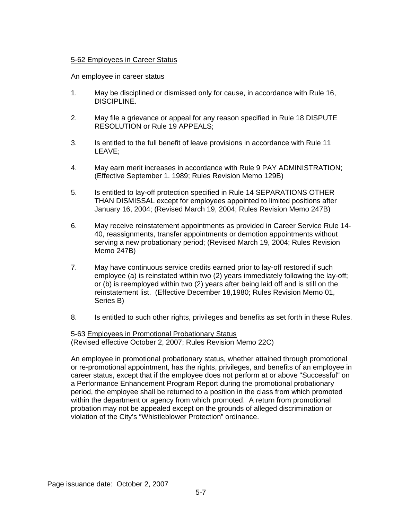### 5-62 Employees in Career Status

An employee in career status

- 1. May be disciplined or dismissed only for cause, in accordance with Rule 16, DISCIPLINE.
- 2. May file a grievance or appeal for any reason specified in Rule 18 DISPUTE RESOLUTION or Rule 19 APPEALS;
- 3. Is entitled to the full benefit of leave provisions in accordance with Rule 11 LEAVE;
- 4. May earn merit increases in accordance with Rule 9 PAY ADMINISTRATION; (Effective September 1. 1989; Rules Revision Memo 129B)
- 5. Is entitled to lay-off protection specified in Rule 14 SEPARATIONS OTHER THAN DISMISSAL except for employees appointed to limited positions after January 16, 2004; (Revised March 19, 2004; Rules Revision Memo 247B)
- 6. May receive reinstatement appointments as provided in Career Service Rule 14- 40, reassignments, transfer appointments or demotion appointments without serving a new probationary period; (Revised March 19, 2004; Rules Revision Memo 247B)
- 7. May have continuous service credits earned prior to lay-off restored if such employee (a) is reinstated within two (2) years immediately following the lay-off; or (b) is reemployed within two (2) years after being laid off and is still on the reinstatement list. (Effective December 18,1980; Rules Revision Memo 01, Series B)
- 8. Is entitled to such other rights, privileges and benefits as set forth in these Rules.

5-63 Employees in Promotional Probationary Status (Revised effective October 2, 2007; Rules Revision Memo 22C)

An employee in promotional probationary status, whether attained through promotional or re-promotional appointment, has the rights, privileges, and benefits of an employee in career status, except that if the employee does not perform at or above "Successful" on a Performance Enhancement Program Report during the promotional probationary period, the employee shall be returned to a position in the class from which promoted within the department or agency from which promoted. A return from promotional probation may not be appealed except on the grounds of alleged discrimination or violation of the City's "Whistleblower Protection" ordinance.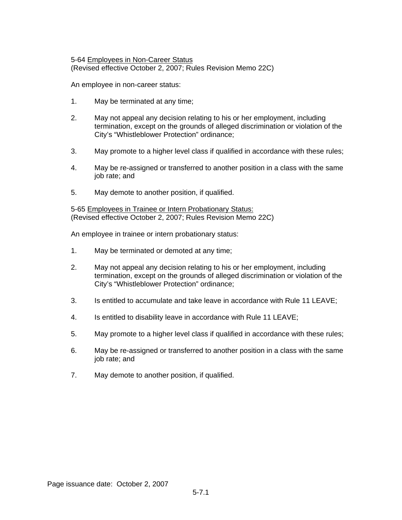#### 5-64 Employees in Non-Career Status (Revised effective October 2, 2007; Rules Revision Memo 22C)

An employee in non-career status:

- 1. May be terminated at any time;
- 2. May not appeal any decision relating to his or her employment, including termination, except on the grounds of alleged discrimination or violation of the City's "Whistleblower Protection" ordinance;
- 3. May promote to a higher level class if qualified in accordance with these rules;
- 4. May be re-assigned or transferred to another position in a class with the same job rate; and
- 5. May demote to another position, if qualified.

5-65 Employees in Trainee or Intern Probationary Status: (Revised effective October 2, 2007; Rules Revision Memo 22C)

An employee in trainee or intern probationary status:

- 1. May be terminated or demoted at any time;
- 2. May not appeal any decision relating to his or her employment, including termination, except on the grounds of alleged discrimination or violation of the City's "Whistleblower Protection" ordinance;
- 3. Is entitled to accumulate and take leave in accordance with Rule 11 LEAVE;
- 4. Is entitled to disability leave in accordance with Rule 11 LEAVE;
- 5. May promote to a higher level class if qualified in accordance with these rules;
- 6. May be re-assigned or transferred to another position in a class with the same job rate; and
- 7. May demote to another position, if qualified.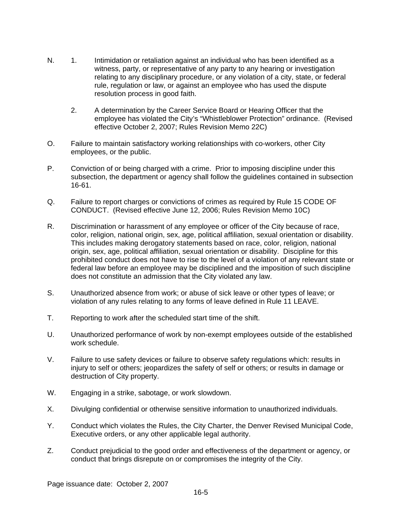- N. 1. Intimidation or retaliation against an individual who has been identified as a witness, party, or representative of any party to any hearing or investigation relating to any disciplinary procedure, or any violation of a city, state, or federal rule, regulation or law, or against an employee who has used the dispute resolution process in good faith.
	- 2. A determination by the Career Service Board or Hearing Officer that the employee has violated the City's "Whistleblower Protection" ordinance. (Revised effective October 2, 2007; Rules Revision Memo 22C)
- O. Failure to maintain satisfactory working relationships with co-workers, other City employees, or the public.
- P. Conviction of or being charged with a crime. Prior to imposing discipline under this subsection, the department or agency shall follow the guidelines contained in subsection 16-61.
- Q. Failure to report charges or convictions of crimes as required by Rule 15 CODE OF CONDUCT. (Revised effective June 12, 2006; Rules Revision Memo 10C)
- R. Discrimination or harassment of any employee or officer of the City because of race, color, religion, national origin, sex, age, political affiliation, sexual orientation or disability. This includes making derogatory statements based on race, color, religion, national origin, sex, age, political affiliation, sexual orientation or disability. Discipline for this prohibited conduct does not have to rise to the level of a violation of any relevant state or federal law before an employee may be disciplined and the imposition of such discipline does not constitute an admission that the City violated any law.
- S. Unauthorized absence from work; or abuse of sick leave or other types of leave; or violation of any rules relating to any forms of leave defined in Rule 11 LEAVE.
- T. Reporting to work after the scheduled start time of the shift.
- U. Unauthorized performance of work by non-exempt employees outside of the established work schedule.
- V. Failure to use safety devices or failure to observe safety regulations which: results in injury to self or others; jeopardizes the safety of self or others; or results in damage or destruction of City property.
- W. Engaging in a strike, sabotage, or work slowdown.
- X. Divulging confidential or otherwise sensitive information to unauthorized individuals.
- Y. Conduct which violates the Rules, the City Charter, the Denver Revised Municipal Code, Executive orders, or any other applicable legal authority.
- Z. Conduct prejudicial to the good order and effectiveness of the department or agency, or conduct that brings disrepute on or compromises the integrity of the City.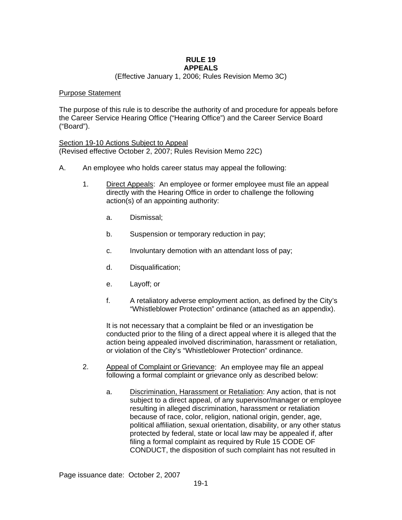#### **RULE 19 APPEALS**

# (Effective January 1, 2006; Rules Revision Memo 3C)

#### Purpose Statement

The purpose of this rule is to describe the authority of and procedure for appeals before the Career Service Hearing Office ("Hearing Office") and the Career Service Board ("Board").

Section 19-10 Actions Subject to Appeal (Revised effective October 2, 2007; Rules Revision Memo 22C)

- A. An employee who holds career status may appeal the following:
	- 1. Direct Appeals: An employee or former employee must file an appeal directly with the Hearing Office in order to challenge the following action(s) of an appointing authority:
		- a. Dismissal;
		- b. Suspension or temporary reduction in pay;
		- c. Involuntary demotion with an attendant loss of pay;
		- d. Disqualification;
		- e. Layoff; or
		- f. A retaliatory adverse employment action, as defined by the City's "Whistleblower Protection" ordinance (attached as an appendix).

It is not necessary that a complaint be filed or an investigation be conducted prior to the filing of a direct appeal where it is alleged that the action being appealed involved discrimination, harassment or retaliation, or violation of the City's "Whistleblower Protection" ordinance.

- 2. Appeal of Complaint or Grievance: An employee may file an appeal following a formal complaint or grievance only as described below:
	- a. Discrimination, Harassment or Retaliation: Any action, that is not subject to a direct appeal, of any supervisor/manager or employee resulting in alleged discrimination, harassment or retaliation because of race, color, religion, national origin, gender, age, political affiliation, sexual orientation, disability, or any other status protected by federal, state or local law may be appealed if, after filing a formal complaint as required by Rule 15 CODE OF CONDUCT, the disposition of such complaint has not resulted in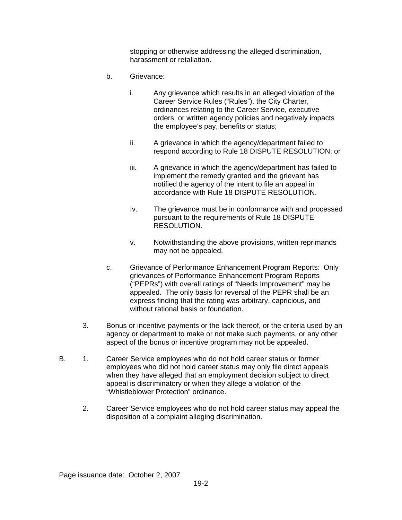stopping or otherwise addressing the alleged discrimination, harassment or retaliation.

- b. Grievance:
	- i. Any grievance which results in an alleged violation of the Career Service Rules ("Rules"), the City Charter, ordinances relating to the Career Service, executive orders, or written agency policies and negatively impacts the employee's pay, benefits or status;
	- ii. A grievance in which the agency/department failed to respond according to Rule 18 DISPUTE RESOLUTION; or
	- iii. A grievance in which the agency/department has failed to implement the remedy granted and the grievant has notified the agency of the intent to file an appeal in accordance with Rule 18 DISPUTE RESOLUTION.
	- Iv. The grievance must be in conformance with and processed pursuant to the requirements of Rule 18 DISPUTE RESOLUTION.
	- v. Notwithstanding the above provisions, written reprimands may not be appealed.
- c. Grievance of Performance Enhancement Program Reports: Only grievances of Performance Enhancement Program Reports ("PEPRs") with overall ratings of "Needs Improvement" may be appealed. The only basis for reversal of the PEPR shall be an express finding that the rating was arbitrary, capricious, and without rational basis or foundation.
- 3. Bonus or incentive payments or the lack thereof, or the criteria used by an agency or department to make or not make such payments, or any other aspect of the bonus or incentive program may not be appealed.
- B. 1. Career Service employees who do not hold career status or former employees who did not hold career status may only file direct appeals when they have alleged that an employment decision subject to direct appeal is discriminatory or when they allege a violation of the "Whistleblower Protection" ordinance.
	- 2. Career Service employees who do not hold career status may appeal the disposition of a complaint alleging discrimination.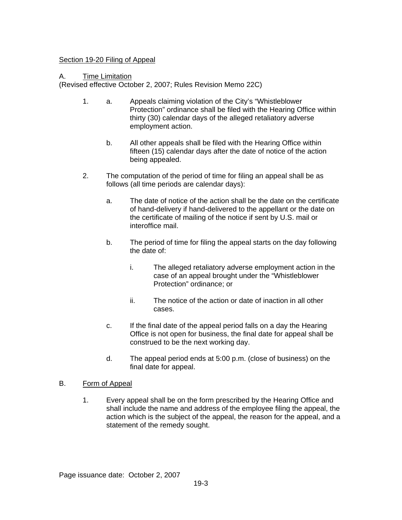# Section 19-20 Filing of Appeal

# A. Time Limitation

(Revised effective October 2, 2007; Rules Revision Memo 22C)

- 1. a. Appeals claiming violation of the City's "Whistleblower Protection" ordinance shall be filed with the Hearing Office within thirty (30) calendar days of the alleged retaliatory adverse employment action.
	- b. All other appeals shall be filed with the Hearing Office within fifteen (15) calendar days after the date of notice of the action being appealed.
- 2. The computation of the period of time for filing an appeal shall be as follows (all time periods are calendar days):
	- a. The date of notice of the action shall be the date on the certificate of hand-delivery if hand-delivered to the appellant or the date on the certificate of mailing of the notice if sent by U.S. mail or interoffice mail.
	- b. The period of time for filing the appeal starts on the day following the date of:
		- i. The alleged retaliatory adverse employment action in the case of an appeal brought under the "Whistleblower Protection" ordinance; or
		- ii. The notice of the action or date of inaction in all other cases.
	- c. If the final date of the appeal period falls on a day the Hearing Office is not open for business, the final date for appeal shall be construed to be the next working day.
	- d. The appeal period ends at 5:00 p.m. (close of business) on the final date for appeal.

## B. Form of Appeal

1. Every appeal shall be on the form prescribed by the Hearing Office and shall include the name and address of the employee filing the appeal, the action which is the subject of the appeal, the reason for the appeal, and a statement of the remedy sought.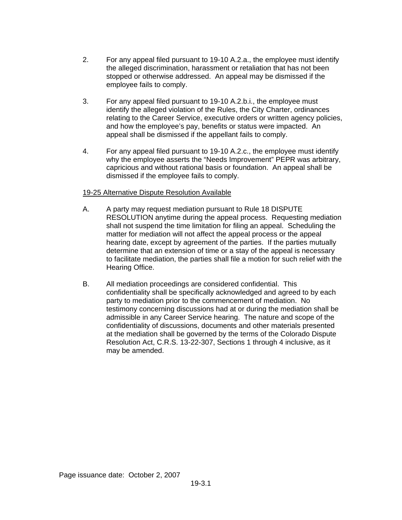- 2. For any appeal filed pursuant to 19-10 A.2.a., the employee must identify the alleged discrimination, harassment or retaliation that has not been stopped or otherwise addressed. An appeal may be dismissed if the employee fails to comply.
- 3. For any appeal filed pursuant to 19-10 A.2.b.i., the employee must identify the alleged violation of the Rules, the City Charter, ordinances relating to the Career Service, executive orders or written agency policies, and how the employee's pay, benefits or status were impacted. An appeal shall be dismissed if the appellant fails to comply.
- 4. For any appeal filed pursuant to 19-10 A.2.c., the employee must identify why the employee asserts the "Needs Improvement" PEPR was arbitrary, capricious and without rational basis or foundation. An appeal shall be dismissed if the employee fails to comply.

# 19-25 Alternative Dispute Resolution Available

- A. A party may request mediation pursuant to Rule 18 DISPUTE RESOLUTION anytime during the appeal process. Requesting mediation shall not suspend the time limitation for filing an appeal. Scheduling the matter for mediation will not affect the appeal process or the appeal hearing date, except by agreement of the parties. If the parties mutually determine that an extension of time or a stay of the appeal is necessary to facilitate mediation, the parties shall file a motion for such relief with the Hearing Office.
- B. All mediation proceedings are considered confidential. This confidentiality shall be specifically acknowledged and agreed to by each party to mediation prior to the commencement of mediation. No testimony concerning discussions had at or during the mediation shall be admissible in any Career Service hearing. The nature and scope of the confidentiality of discussions, documents and other materials presented at the mediation shall be governed by the terms of the Colorado Dispute Resolution Act, C.R.S. 13-22-307, Sections 1 through 4 inclusive, as it may be amended.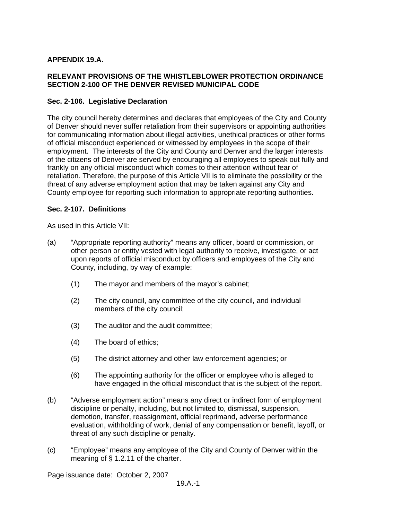# **APPENDIX 19.A.**

## **RELEVANT PROVISIONS OF THE WHISTLEBLOWER PROTECTION ORDINANCE SECTION 2-100 OF THE DENVER REVISED MUNICIPAL CODE**

# **Sec. 2-106. Legislative Declaration**

The city council hereby determines and declares that employees of the City and County of Denver should never suffer retaliation from their supervisors or appointing authorities for communicating information about illegal activities, unethical practices or other forms of official misconduct experienced or witnessed by employees in the scope of their employment. The interests of the City and County and Denver and the larger interests of the citizens of Denver are served by encouraging all employees to speak out fully and frankly on any official misconduct which comes to their attention without fear of retaliation. Therefore, the purpose of this Article VII is to eliminate the possibility or the threat of any adverse employment action that may be taken against any City and County employee for reporting such information to appropriate reporting authorities.

## **Sec. 2-107. Definitions**

As used in this Article VII:

- (a) "Appropriate reporting authority" means any officer, board or commission, or other person or entity vested with legal authority to receive, investigate, or act upon reports of official misconduct by officers and employees of the City and County, including, by way of example:
	- (1) The mayor and members of the mayor's cabinet;
	- (2) The city council, any committee of the city council, and individual members of the city council;
	- (3) The auditor and the audit committee;
	- (4) The board of ethics;
	- (5) The district attorney and other law enforcement agencies; or
	- (6) The appointing authority for the officer or employee who is alleged to have engaged in the official misconduct that is the subject of the report.
- (b) "Adverse employment action" means any direct or indirect form of employment discipline or penalty, including, but not limited to, dismissal, suspension, demotion, transfer, reassignment, official reprimand, adverse performance evaluation, withholding of work, denial of any compensation or benefit, layoff, or threat of any such discipline or penalty.
- (c) "Employee" means any employee of the City and County of Denver within the meaning of § 1.2.11 of the charter.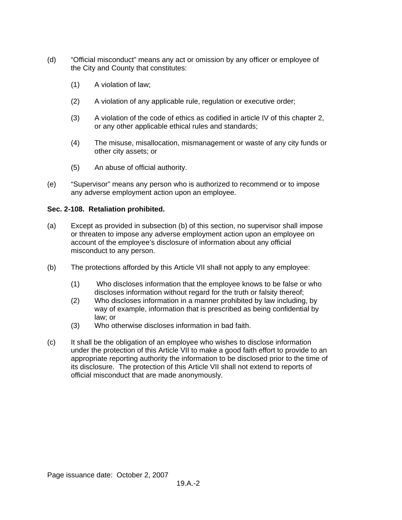- (d) "Official misconduct" means any act or omission by any officer or employee of the City and County that constitutes:
	- (1) A violation of law;
	- (2) A violation of any applicable rule, regulation or executive order;
	- (3) A violation of the code of ethics as codified in article IV of this chapter 2, or any other applicable ethical rules and standards;
	- (4) The misuse, misallocation, mismanagement or waste of any city funds or other city assets; or
	- (5) An abuse of official authority.
- (e) "Supervisor" means any person who is authorized to recommend or to impose any adverse employment action upon an employee.

## **Sec. 2-108. Retaliation prohibited.**

- (a) Except as provided in subsection (b) of this section, no supervisor shall impose or threaten to impose any adverse employment action upon an employee on account of the employee's disclosure of information about any official misconduct to any person.
- (b) The protections afforded by this Article VII shall not apply to any employee:
	- (1) Who discloses information that the employee knows to be false or who discloses information without regard for the truth or falsity thereof;
	- (2) Who discloses information in a manner prohibited by law including, by way of example, information that is prescribed as being confidential by law; or
	- (3) Who otherwise discloses information in bad faith.
- (c) It shall be the obligation of an employee who wishes to disclose information under the protection of this Article VII to make a good faith effort to provide to an appropriate reporting authority the information to be disclosed prior to the time of its disclosure. The protection of this Article VII shall not extend to reports of official misconduct that are made anonymously.